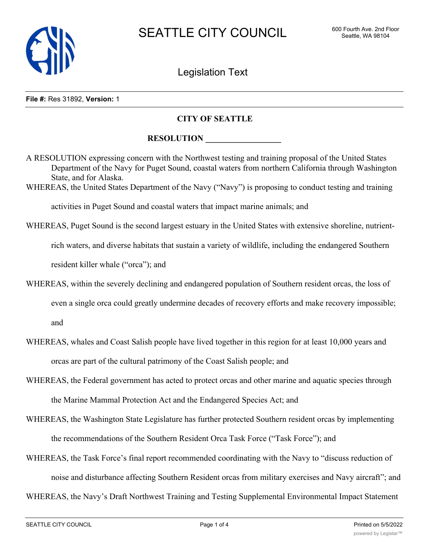

Legislation Text

## **File #:** Res 31892, **Version:** 1

## **CITY OF SEATTLE**

## **RESOLUTION**

A RESOLUTION expressing concern with the Northwest testing and training proposal of the United States Department of the Navy for Puget Sound, coastal waters from northern California through Washington State, and for Alaska.

WHEREAS, the United States Department of the Navy ("Navy") is proposing to conduct testing and training

activities in Puget Sound and coastal waters that impact marine animals; and

WHEREAS, Puget Sound is the second largest estuary in the United States with extensive shoreline, nutrient-

rich waters, and diverse habitats that sustain a variety of wildlife, including the endangered Southern

resident killer whale ("orca"); and

WHEREAS, within the severely declining and endangered population of Southern resident orcas, the loss of even a single orca could greatly undermine decades of recovery efforts and make recovery impossible;

and

- WHEREAS, whales and Coast Salish people have lived together in this region for at least 10,000 years and orcas are part of the cultural patrimony of the Coast Salish people; and
- WHEREAS, the Federal government has acted to protect orcas and other marine and aquatic species through the Marine Mammal Protection Act and the Endangered Species Act; and
- WHEREAS, the Washington State Legislature has further protected Southern resident orcas by implementing the recommendations of the Southern Resident Orca Task Force ("Task Force"); and
- WHEREAS, the Task Force's final report recommended coordinating with the Navy to "discuss reduction of noise and disturbance affecting Southern Resident orcas from military exercises and Navy aircraft"; and

WHEREAS, the Navy's Draft Northwest Training and Testing Supplemental Environmental Impact Statement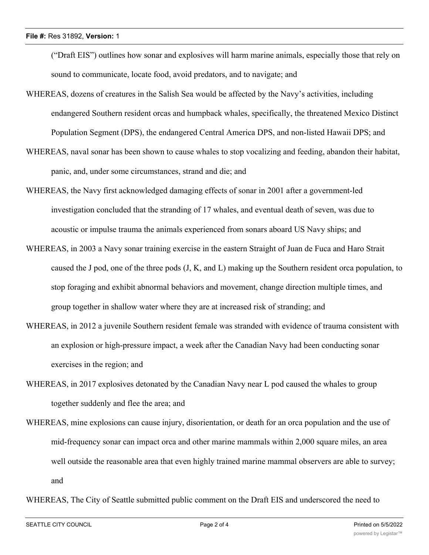("Draft EIS") outlines how sonar and explosives will harm marine animals, especially those that rely on sound to communicate, locate food, avoid predators, and to navigate; and

- WHEREAS, dozens of creatures in the Salish Sea would be affected by the Navy's activities, including endangered Southern resident orcas and humpback whales, specifically, the threatened Mexico Distinct Population Segment (DPS), the endangered Central America DPS, and non-listed Hawaii DPS; and
- WHEREAS, naval sonar has been shown to cause whales to stop vocalizing and feeding, abandon their habitat, panic, and, under some circumstances, strand and die; and
- WHEREAS, the Navy first acknowledged damaging effects of sonar in 2001 after a government-led investigation concluded that the stranding of 17 whales, and eventual death of seven, was due to acoustic or impulse trauma the animals experienced from sonars aboard US Navy ships; and
- WHEREAS, in 2003 a Navy sonar training exercise in the eastern Straight of Juan de Fuca and Haro Strait caused the J pod, one of the three pods (J, K, and L) making up the Southern resident orca population, to stop foraging and exhibit abnormal behaviors and movement, change direction multiple times, and group together in shallow water where they are at increased risk of stranding; and
- WHEREAS, in 2012 a juvenile Southern resident female was stranded with evidence of trauma consistent with an explosion or high-pressure impact, a week after the Canadian Navy had been conducting sonar exercises in the region; and
- WHEREAS, in 2017 explosives detonated by the Canadian Navy near L pod caused the whales to group together suddenly and flee the area; and
- WHEREAS, mine explosions can cause injury, disorientation, or death for an orca population and the use of mid-frequency sonar can impact orca and other marine mammals within 2,000 square miles, an area well outside the reasonable area that even highly trained marine mammal observers are able to survey; and

WHEREAS, The City of Seattle submitted public comment on the Draft EIS and underscored the need to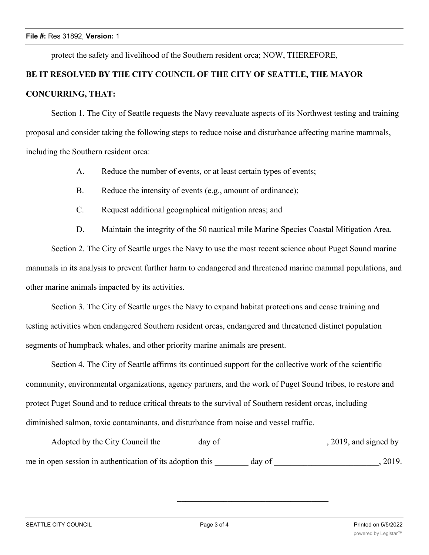protect the safety and livelihood of the Southern resident orca; NOW, THEREFORE,

## **BE IT RESOLVED BY THE CITY COUNCIL OF THE CITY OF SEATTLE, THE MAYOR CONCURRING, THAT:**

Section 1. The City of Seattle requests the Navy reevaluate aspects of its Northwest testing and training proposal and consider taking the following steps to reduce noise and disturbance affecting marine mammals, including the Southern resident orca:

- A. Reduce the number of events, or at least certain types of events;
- B. Reduce the intensity of events (e.g., amount of ordinance);
- C. Request additional geographical mitigation areas; and
- D. Maintain the integrity of the 50 nautical mile Marine Species Coastal Mitigation Area.

Section 2. The City of Seattle urges the Navy to use the most recent science about Puget Sound marine mammals in its analysis to prevent further harm to endangered and threatened marine mammal populations, and other marine animals impacted by its activities.

Section 3. The City of Seattle urges the Navy to expand habitat protections and cease training and testing activities when endangered Southern resident orcas, endangered and threatened distinct population segments of humpback whales, and other priority marine animals are present.

Section 4. The City of Seattle affirms its continued support for the collective work of the scientific community, environmental organizations, agency partners, and the work of Puget Sound tribes, to restore and protect Puget Sound and to reduce critical threats to the survival of Southern resident orcas, including diminished salmon, toxic contaminants, and disturbance from noise and vessel traffic.

| Adopted by the City Council the                           | dav of | $, 2019$ , and signed by |
|-----------------------------------------------------------|--------|--------------------------|
| me in open session in authentication of its adoption this | day of | 2019.                    |